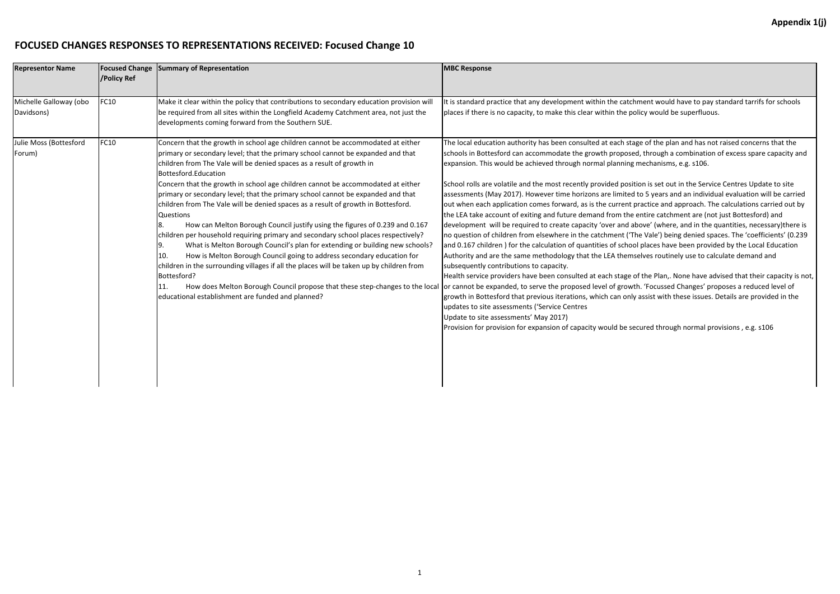## **FOCUSED CHANGES RESPONSES TO REPRESENTATIONS RECEIVED: Focused Change 10**

| <b>Representor Name</b>              | <b>Focused Change</b><br>/Policy Ref | Summary of Representation                                                                                                                                                                                                                                                                                                                                                                                                                                                                                                                                                                                                                                                                                                                                                                                                                                                                                                                                                                                                                                                                                                                      | <b>MBC Response</b>                                                                                                                                                                                                                                                                                                                                                                                                                                                                                                                                                                                                                                                                                                                                                                                                                                                                                                                                                                                                                                                                                          |
|--------------------------------------|--------------------------------------|------------------------------------------------------------------------------------------------------------------------------------------------------------------------------------------------------------------------------------------------------------------------------------------------------------------------------------------------------------------------------------------------------------------------------------------------------------------------------------------------------------------------------------------------------------------------------------------------------------------------------------------------------------------------------------------------------------------------------------------------------------------------------------------------------------------------------------------------------------------------------------------------------------------------------------------------------------------------------------------------------------------------------------------------------------------------------------------------------------------------------------------------|--------------------------------------------------------------------------------------------------------------------------------------------------------------------------------------------------------------------------------------------------------------------------------------------------------------------------------------------------------------------------------------------------------------------------------------------------------------------------------------------------------------------------------------------------------------------------------------------------------------------------------------------------------------------------------------------------------------------------------------------------------------------------------------------------------------------------------------------------------------------------------------------------------------------------------------------------------------------------------------------------------------------------------------------------------------------------------------------------------------|
| Michelle Galloway (obo<br>Davidsons) | <b>FC10</b>                          | Make it clear within the policy that contributions to secondary education provision will<br>be required from all sites within the Longfield Academy Catchment area, not just the<br>developments coming forward from the Southern SUE.                                                                                                                                                                                                                                                                                                                                                                                                                                                                                                                                                                                                                                                                                                                                                                                                                                                                                                         | It is standard practice that any development within the catc<br>places if there is no capacity, to make this clear within the p                                                                                                                                                                                                                                                                                                                                                                                                                                                                                                                                                                                                                                                                                                                                                                                                                                                                                                                                                                              |
| Julie Moss (Bottesford<br>Forum)     | <b>FC10</b>                          | Concern that the growth in school age children cannot be accommodated at either<br>primary or secondary level; that the primary school cannot be expanded and that<br>children from The Vale will be denied spaces as a result of growth in<br>Bottesford.Education<br>Concern that the growth in school age children cannot be accommodated at either<br>primary or secondary level; that the primary school cannot be expanded and that<br>children from The Vale will be denied spaces as a result of growth in Bottesford.<br>Questions<br>How can Melton Borough Council justify using the figures of 0.239 and 0.167<br>children per household requiring primary and secondary school places respectively?<br>What is Melton Borough Council's plan for extending or building new schools?<br>9.<br>How is Melton Borough Council going to address secondary education for<br>10.<br>children in the surrounding villages if all the places will be taken up by children from<br>Bottesford?<br>How does Melton Borough Council propose that these step-changes to the local<br>11.<br>educational establishment are funded and planned? | The local education authority has been consulted at each sta<br>schools in Bottesford can accommodate the growth propose<br>expansion. This would be achieved through normal planning<br>School rolls are volatile and the most recently provided posi<br>assessments (May 2017). However time horizons are limited<br>out when each application comes forward, as is the current<br>the LEA take account of exiting and future demand from the<br>development will be required to create capacity 'over and a<br>no question of children from elsewhere in the catchment ('T<br>and 0.167 children) for the calculation of quantities of scho<br>Authority and are the same methodology that the LEA them<br>subsequently contributions to capacity.<br>Health service providers have been consulted at each stage<br>or cannot be expanded, to serve the proposed level of grow<br>growth in Bottesford that previous iterations, which can onl<br>updates to site assessments ('Service Centres<br>Update to site assessments' May 2017)<br>Provision for provision for expansion of capacity would be so |

It is standard tandard tarrifs for schools policy would be superfluous.

tage of the plan and has not raised concerns that the ed, through a combination of excess spare capacity and expansions, e.g. s106.

ition is set out in the Service Centres Update to site d to 5 years and an individual evaluation will be carried practice and approach. The calculations carried out by entire catchment are (not just Bottesford) and above' (where, and in the quantities, necessary)there is The Vale') being denied spaces. The 'coefficients' (0.239 ol places have been provided by the Local Education nselves routinely use to calculate demand and

of the Plan,. None have advised that their capacity is not, vth. 'Focussed Changes' proposes a reduced level of ly assist with these issues. Details are provided in the

ecured through normal provisions, e.g. s106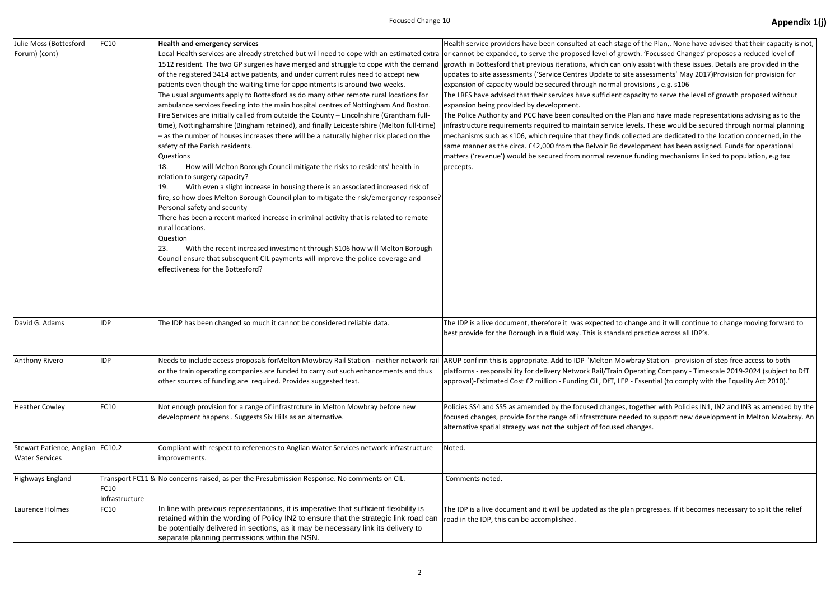| Julie Moss (Bottesford<br>Forum) (cont)                     | FC10                   | <b>Health and emergency services</b><br>Local Health services are already stretched but will need to cope with an estimated extra or cannot be expanded, to serve the proposed level of grow<br>1512 resident. The two GP surgeries have merged and struggle to cope with the demand<br>of the registered 3414 active patients, and under current rules need to accept new<br>patients even though the waiting time for appointments is around two weeks.<br>The usual arguments apply to Bottesford as do many other remote rural locations for<br>ambulance services feeding into the main hospital centres of Nottingham And Boston.<br>Fire Services are initially called from outside the County - Lincolnshire (Grantham full-<br>time), Nottinghamshire (Bingham retained), and finally Leicestershire (Melton full-time)<br>- as the number of houses increases there will be a naturally higher risk placed on the<br>safety of the Parish residents.<br><b>Questions</b><br>How will Melton Borough Council mitigate the risks to residents' health in<br>18.<br>relation to surgery capacity?<br>With even a slight increase in housing there is an associated increased risk of<br>19.<br>fire, so how does Melton Borough Council plan to mitigate the risk/emergency response?<br>Personal safety and security<br>There has been a recent marked increase in criminal activity that is related to remote<br>rural locations.<br><b>Question</b><br>With the recent increased investment through S106 how will Melton Borough<br>23.<br>Council ensure that subsequent CIL payments will improve the police coverage and<br>effectiveness for the Bottesford? | Health service providers have been consulted at each stage<br>growth in Bottesford that previous iterations, which can onl<br>updates to site assessments ('Service Centres Update to site<br>expansion of capacity would be secured through normal pro<br>The LRFS have advised that their services have sufficient cap<br>expansion being provided by development.<br>The Police Authority and PCC have been consulted on the Pl<br>infrastructure requirements required to maintain service lev<br>mechanisms such as s106, which require that they finds coll<br>same manner as the circa. £42,000 from the Belvoir Rd deve<br>matters ('revenue') would be secured from normal revenue<br>precepts. |
|-------------------------------------------------------------|------------------------|----------------------------------------------------------------------------------------------------------------------------------------------------------------------------------------------------------------------------------------------------------------------------------------------------------------------------------------------------------------------------------------------------------------------------------------------------------------------------------------------------------------------------------------------------------------------------------------------------------------------------------------------------------------------------------------------------------------------------------------------------------------------------------------------------------------------------------------------------------------------------------------------------------------------------------------------------------------------------------------------------------------------------------------------------------------------------------------------------------------------------------------------------------------------------------------------------------------------------------------------------------------------------------------------------------------------------------------------------------------------------------------------------------------------------------------------------------------------------------------------------------------------------------------------------------------------------------------------------------------------------------------------------------------------------|----------------------------------------------------------------------------------------------------------------------------------------------------------------------------------------------------------------------------------------------------------------------------------------------------------------------------------------------------------------------------------------------------------------------------------------------------------------------------------------------------------------------------------------------------------------------------------------------------------------------------------------------------------------------------------------------------------|
| David G. Adams                                              | <b>IDP</b>             | The IDP has been changed so much it cannot be considered reliable data.                                                                                                                                                                                                                                                                                                                                                                                                                                                                                                                                                                                                                                                                                                                                                                                                                                                                                                                                                                                                                                                                                                                                                                                                                                                                                                                                                                                                                                                                                                                                                                                                    | The IDP is a live document, therefore it was expected to ch<br>best provide for the Borough in a fluid way. This is standard                                                                                                                                                                                                                                                                                                                                                                                                                                                                                                                                                                             |
| Anthony Rivero                                              | <b>IDP</b>             | Needs to include access proposals forMelton Mowbray Rail Station - neither network rail<br>or the train operating companies are funded to carry out such enhancements and thus<br>other sources of funding are required. Provides suggested text.                                                                                                                                                                                                                                                                                                                                                                                                                                                                                                                                                                                                                                                                                                                                                                                                                                                                                                                                                                                                                                                                                                                                                                                                                                                                                                                                                                                                                          | ARUP confirm this is appropriate. Add to IDP "Melton Mowl<br>platforms - responsibility for delivery Network Rail/Train Op<br>approval)-Estimated Cost £2 million - Funding CiL, DfT, LEP -                                                                                                                                                                                                                                                                                                                                                                                                                                                                                                              |
| <b>Heather Cowley</b>                                       | FC10                   | Not enough provision for a range of infrastrcture in Melton Mowbray before new<br>development happens. Suggests Six Hills as an alternative.                                                                                                                                                                                                                                                                                                                                                                                                                                                                                                                                                                                                                                                                                                                                                                                                                                                                                                                                                                                                                                                                                                                                                                                                                                                                                                                                                                                                                                                                                                                               | Policies SS4 and SS5 as amemded by the focused changes, to<br>focused changes, provide for the range of infrastrcture need<br>alternative spatial straegy was not the subject of focused ch                                                                                                                                                                                                                                                                                                                                                                                                                                                                                                              |
| Stewart Patience, Anglian   FC10.2<br><b>Water Services</b> |                        | Compliant with respect to references to Anglian Water Services network infrastructure<br>improvements.                                                                                                                                                                                                                                                                                                                                                                                                                                                                                                                                                                                                                                                                                                                                                                                                                                                                                                                                                                                                                                                                                                                                                                                                                                                                                                                                                                                                                                                                                                                                                                     | Noted.                                                                                                                                                                                                                                                                                                                                                                                                                                                                                                                                                                                                                                                                                                   |
| Highways England                                            | FC10<br>Infrastructure | Transport FC11 & No concerns raised, as per the Presubmission Response. No comments on CIL.                                                                                                                                                                                                                                                                                                                                                                                                                                                                                                                                                                                                                                                                                                                                                                                                                                                                                                                                                                                                                                                                                                                                                                                                                                                                                                                                                                                                                                                                                                                                                                                | Comments noted.                                                                                                                                                                                                                                                                                                                                                                                                                                                                                                                                                                                                                                                                                          |
| Laurence Holmes                                             | FC10                   | In line with previous representations, it is imperative that sufficient flexibility is<br>retained within the wording of Policy IN2 to ensure that the strategic link road can<br>be potentially delivered in sections, as it may be necessary link its delivery to<br>separate planning permissions within the NSN.                                                                                                                                                                                                                                                                                                                                                                                                                                                                                                                                                                                                                                                                                                                                                                                                                                                                                                                                                                                                                                                                                                                                                                                                                                                                                                                                                       | The IDP is a live document and it will be updated as the plar<br>road in the IDP, this can be accomplished.                                                                                                                                                                                                                                                                                                                                                                                                                                                                                                                                                                                              |

## Focused Change 10 **Appendix 1(j)**

of the Plan,. None have advised that their capacity is not, vth. 'Focussed Changes' proposes a reduced level of ly assist with these issues. Details are provided in the e assessments' May 2017)Provision for provision for ovisions , e.g. s106

pacity to serve the level of growth proposed without

Ian and have made representations advising as to the vels. These would be secured through normal planning lected are dedicated to the location concerned, in the elopment has been assigned. Funds for operational funding mechanisms linked to population, e.g tax

ange and it will continue to change moving forward to bet practice across all IDP's.

bray Station - provision of step free access to both perating Company - Timescale 2019-2024 (subject to DfT - Essential (to comply with the Equality Act 2010)."

ogether with Policies IN1, IN2 and IN3 as amended by the ded to support new development in Melton Mowbray. An hanges.

n progresses. If it becomes necessary to split the relief